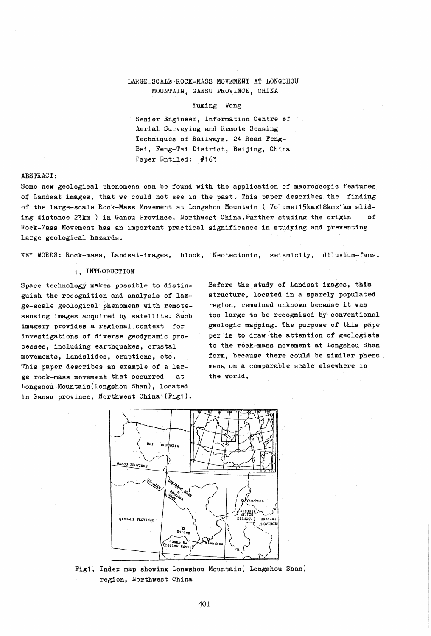# LARGE\_SC ALE " ROCK-MASS MOVEMENT AT LONGSHOU MOUNTAIN, GANSU PROVINCE, CHINA

### Yuming Wang

Senior Engineer, Information Centre of Aerial Surveying and Remote Sensing Techniques of Railways, 24 Road Feng-Bei, Feng-Tai District, Beijing, China Paper Entiled: #163

## ABSTRACT:

Some new geological phenomena can be found with the application of macroscopic features of Landsat images, that we could not see in the past. This paper describes the finding of the large-scale Rock-Mass Movement at Longshou Mountain ( Volume:15kmX18kmx1km sliding distance 23km ) in Gansu Province, Northwest China.Further studing the origin of Rock-Mass Movement has an important practical significance in studying and preventing large geological hazards.

KEY WORDS: Rock-mass, Landsat-images, block, Neotectonic, seismicity, diluvium-fans.

#### 1. INTRODUCTION

Space technology makes possible to distinguish the recognition and analysis of large-scale geological phenomena with remotesensing images acquired by satellite. Such imagery provides a regional context for investigations of diverse geodynamic processes, including earthquakes, crustal movements, landslides, eruptions, etc. This paper describes an example of a large rock-mass movement that occurred at Longshou Mountain(Longshou Shan), located in Gansu province, Northwest China (Fig1).

Before the study of Landsat images, this structure, located in a sparely populated region, remained unknown because it was too large to be recogmized by conventional geologic mapping. The purpose of this pape' per is to draw the attention of geologists to the rock-mass movement at Longshou Shan form, because there could be similar pheno. mena on a comparable scale elsewhere in the world.



Fig1. Index map showing Longshou Mountain( Longshou Shan) region, Northwest China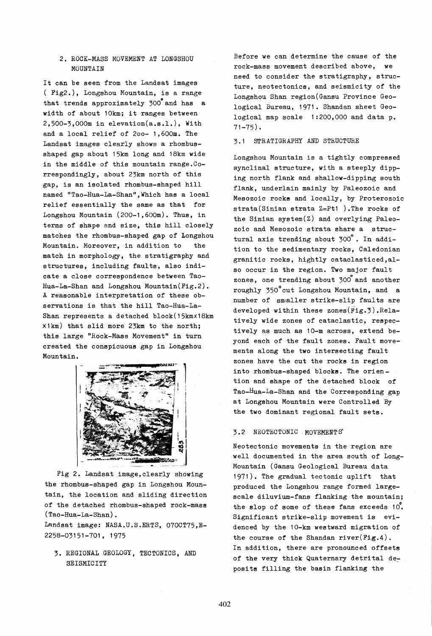## 2. ROCK-MASS MOVEMENT AT LONGSHOU MOUNTAIN

It can be seen from the Landsat images ( Fig2.), Longshou Mountain, is a range that trends approximately  $300^{\circ}$  and has a width of about 10km; it ranges between 2,500-3,000m in elevation(a.s.l.), With and a local relief of 200- 1,600m. The Landsat images clearly shows a rhombusshaped gap about 15km long and 18km wide in the middle of this mountain range.Correspondingly, about 23km north of this gap, is an isolated rhombus-shaped hill named "Tao-Hua-La-Shan", Which has a local relief essentially the same as that for Longshou Mountain (200-1,600m). Thus, in terms of shape and size, this hill closely matches the rhombus-shaped gap of Longshou Mountain. Moreover, in addition to the match in morphology, the stratigraphy and structures, including faults, also indicate a close correspondence between Tao-Hua-La-Shan and Longshou Mountain(Fig.2). A reasonable interpretation of these observations is that the hill Tao-Hua-La-Shan represents a detached block(15kmx18km X1km) that slid more 23km to the north; this large "Rock-Mass Movement" in turn created the conspicuous gap in Longshou Mountain.



Fig 2. Landsat image,clearly showing the rhombus-shaped gap in Longshou Mountain, the location and sliding direction of the detached rhombus-shaped rock-mass (Tao-Hua-La-Shan).

Landsat image: NASA.U.S.ERTS, 070CT75, E-2258-03151-701, 1975

3. REGIONAL GEOLOGY, TECTONICS, AND SEISMICITY

Before we can determine the cause of the rock-mass movement described above, we need to consider the stratigraphy, structure, neotectonics, and seismicity of the Longshou Shan region(Gansu Province Geological Bureau, 1971. Shandan sheet Geological map scale 1:200,000 and data p. 71-75).

## 3.1 STRATIGRAPHY AND STRUCTURE

Longshou Mountain is a tightly compressed synclinal structure, with a steeply dipping north flank and shallow-dipping south flank, underlain mainly by Paleozoic and Mesozoic rocks and locally, by Proterozoic strata(Sinian strata Z=Pt1 ).The rocks of the Sinian system(Z) and overlying Paleozoic and Mesozoic strata share a structural axis trending about 300°. In addition to the sedimentary rocks, Caledonian granitic rocks, hightly cataclasticed,also occur in the region. Two major fault zones, one trending about 300 and another roughly 350° cut Longshou Mountain, and a number of smaller strike-slip faults are developed within these zones(Fig.3).Relatively wide zones of cataclastic, respectively as much as 10-m across, extend beyond each of the fault zones. Fault movements along the two intersecting fault zones have the cut the rocks in region into rhombus-shaped blocks. The oriention and shape of the detached block of Tao-Hua-La-Shan and the Corresponding gap at Longshou Mountain were Controlled By the two dominant regional fault sets.

### 3.2 NEOTECTONIC. MOVEMENT'S~

Neotectonic movements in the region are well documented in the area south of Long-Mountain (Gansu Geological Bureau data 1971). The gradual tectonic uplift that produced the Longshou range formed largescale diluvium-fans flanking the mountain;<br>the slop of some of these fans exceeds  $10^{\circ}$ . Significant strike-slip movement is evidenced by the 10-km westward migration of the course of the Shandan river(Fig.4). In addition, there are pronounced offsets of the very thick Quaternary detrital de~ posits filling the basin flanking the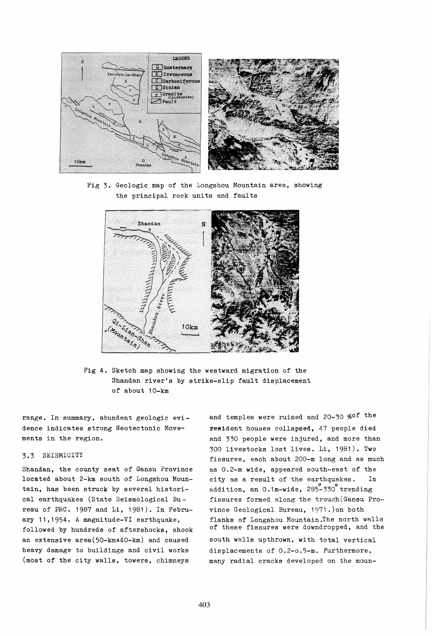

Fig 3. Geologic map of the Longshou Mountain area, showing the principal rock units and faults



Fig **4.** Sketch map showing the westward migration of the Shandan river's by strike-slip fault displacement of about 10-km

range. In summary, abundant geologic evidence indicates strong Neotectonic Move~ ments in the region.

# 3.3 SEISMICITY

Shandan, the county seat of Gansu Province located about 2-km south of Longshou Mountain, has been struck by several historical earthquakes (State Seismological Bu. reau of PRC. 1987 and Li, 1981). In February 11,1954. A magnitude-VI earthquake, followed by hundreds of aftershocks, shook an extensive area(50-kmx40-km) and caused heavy damage to buildings and civil works (most of the city walls, towers, chimneys

and temples were ruined and 20-30 %of the resident houses collapsed, 47 people died and 330 people were injured, and more than 300 livestocks lost lives. Li, 1981). Two fissures, each about 200-m long and as much as 0.2-m wide, appeared south-east of the city as a result of the earthquakes. In addition, an 0.1m-wide, 285-330 trending fissures formed along the trough (Gansu Province Geological Bureau, 1971 .)on both flanks of Longshou Mountain.The north walls of these fissures were downdropped, and the south walls upthrown, with total vertical displacements of 0.2-o.5-m. Furthermore, many radial cracks developed on the moun